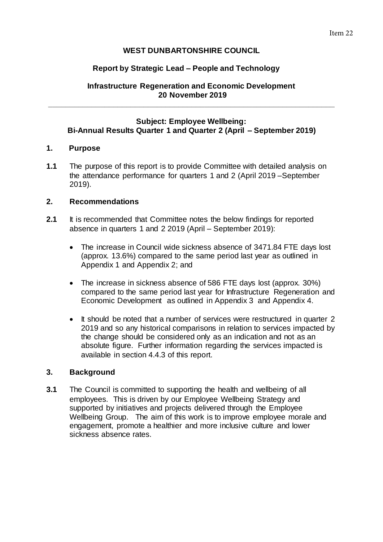# **WEST DUNBARTONSHIRE COUNCIL**

# **Report by Strategic Lead – People and Technology**

## **Infrastructure Regeneration and Economic Development 20 November 2019**

**\_\_\_\_\_\_\_\_\_\_\_\_\_\_\_\_\_\_\_\_\_\_\_\_\_\_\_\_\_\_\_\_\_\_\_\_\_\_\_\_\_\_\_\_\_\_\_\_\_\_\_\_\_\_\_\_\_\_\_\_\_\_\_\_\_\_**

# **Subject: Employee Wellbeing: Bi-Annual Results Quarter 1 and Quarter 2 (April – September 2019)**

# **1. Purpose**

**1.1** The purpose of this report is to provide Committee with detailed analysis on the attendance performance for quarters 1 and 2 (April 2019 –September 2019).

## **2. Recommendations**

- **2.1** It is recommended that Committee notes the below findings for reported absence in quarters 1 and 2 2019 (April – September 2019):
	- The increase in Council wide sickness absence of 3471.84 FTE days lost (approx. 13.6%) compared to the same period last year as outlined in Appendix 1 and Appendix 2; and
	- The increase in sickness absence of 586 FTE days lost (approx. 30%) compared to the same period last year for Infrastructure Regeneration and Economic Development as outlined in Appendix 3 and Appendix 4.
	- It should be noted that a number of services were restructured in quarter 2 2019 and so any historical comparisons in relation to services impacted by the change should be considered only as an indication and not as an absolute figure. Further information regarding the services impacted is available in section 4.4.3 of this report.

## **3. Background**

**3.1** The Council is committed to supporting the health and wellbeing of all employees. This is driven by our Employee Wellbeing Strategy and supported by initiatives and projects delivered through the Employee Wellbeing Group. The aim of this work is to improve employee morale and engagement, promote a healthier and more inclusive culture and lower sickness absence rates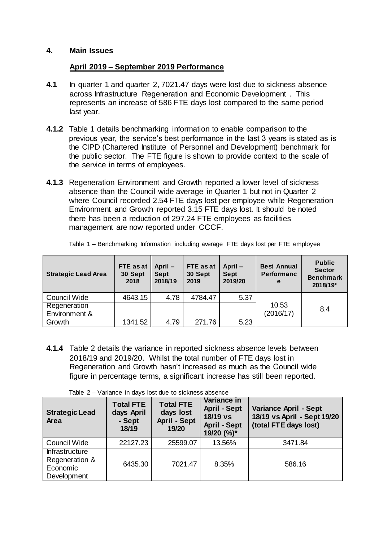## **4. Main Issues**

### **April 2019 – September 2019 Performance**

- **4.1** In quarter 1 and quarter 2, 7021.47 days were lost due to sickness absence across Infrastructure Regeneration and Economic Development . This represents an increase of 586 FTE days lost compared to the same period last year.
- **4.1.2** Table 1 details benchmarking information to enable comparison to the previous year, the service's best performance in the last 3 years is stated as is the CIPD (Chartered Institute of Personnel and Development) benchmark for the public sector. The FTE figure is shown to provide context to the scale of the service in terms of employees.
- **4.1.3** Regeneration Environment and Growth reported a lower level of sickness absence than the Council wide average in Quarter 1 but not in Quarter 2 where Council recorded 2.54 FTE days lost per employee while Regeneration Environment and Growth reported 3.15 FTE days lost. It should be noted there has been a reduction of 297.24 FTE employees as facilities management are now reported under CCCF.

| <b>Strategic Lead Area</b> | FTE as at<br>30 Sept<br>2018 | April -<br><b>Sept</b><br>2018/19 | FTE as at<br>30 Sept<br>2019 | April -<br><b>Sept</b><br>2019/20 | <b>Best Annual</b><br><b>Performanc</b><br>e | <b>Public</b><br><b>Sector</b><br><b>Benchmark</b><br>2018/19* |
|----------------------------|------------------------------|-----------------------------------|------------------------------|-----------------------------------|----------------------------------------------|----------------------------------------------------------------|
| Council Wide               | 4643.15                      | 4.78                              | 4784.47                      | 5.37                              |                                              |                                                                |
| Regeneration               |                              |                                   |                              |                                   | 10.53                                        | 8.4                                                            |
| Environment &              |                              |                                   |                              |                                   | (2016/17)                                    |                                                                |
| Growth                     | 1341.52                      | 4.79                              | 271.76                       | 5.23                              |                                              |                                                                |

Table 1 – Benchmarking Information including average FTE days lost per FTE employee

**4.1.4** Table 2 details the variance in reported sickness absence levels between 2018/19 and 2019/20. Whilst the total number of FTE days lost in Regeneration and Growth hasn't increased as much as the Council wide figure in percentage terms, a significant increase has still been reported.

Table 2 – Variance in days lost due to sickness absence

| <b>Strategic Lead</b><br>Area                               | <b>Total FTE</b><br>days April<br>- Sept<br>18/19 | <b>Total FTE</b><br>days lost<br><b>April - Sept</b><br>19/20 | Variance in<br><b>April - Sept</b><br>18/19 vs<br><b>April - Sept</b><br>19/20 (%)* | <b>Variance April - Sept</b><br>18/19 vs April - Sept 19/20<br>(total FTE days lost) |
|-------------------------------------------------------------|---------------------------------------------------|---------------------------------------------------------------|-------------------------------------------------------------------------------------|--------------------------------------------------------------------------------------|
| Council Wide                                                | 22127.23                                          | 25599.07                                                      | 13.56%                                                                              | 3471.84                                                                              |
| Infrastructure<br>Regeneration &<br>Economic<br>Development | 6435.30                                           | 7021.47                                                       | 8.35%                                                                               | 586.16                                                                               |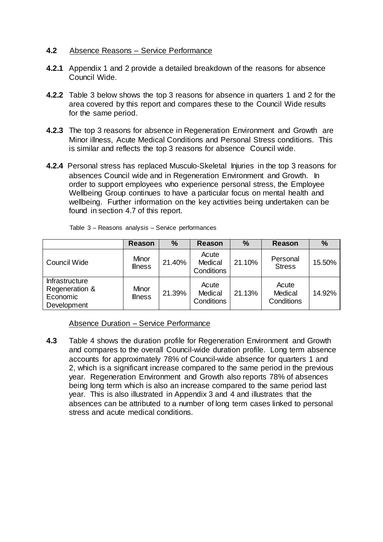### **4.2** Absence Reasons – Service Performance

- **4.2.1** Appendix 1 and 2 provide a detailed breakdown of the reasons for absence Council Wide.
- **4.2.2** Table 3 below shows the top 3 reasons for absence in quarters 1 and 2 for the area covered by this report and compares these to the Council Wide results for the same period.
- **4.2.3** The top 3 reasons for absence in Regeneration Environment and Growth are Minor illness, Acute Medical Conditions and Personal Stress conditions. This is similar and reflects the top 3 reasons for absence Council wide.
- **4.2.4** Personal stress has replaced Musculo-Skeletal Injuries in the top 3 reasons for absences Council wide and in Regeneration Environment and Growth. In order to support employees who experience personal stress, the Employee Wellbeing Group continues to have a particular focus on mental health and wellbeing. Further information on the key activities being undertaken can be found in section 4.7 of this report.

|                                                                    | <b>Reason</b>           | $\frac{0}{0}$ | Reason                         | $\frac{0}{0}$ | Reason                         | $\frac{9}{6}$ |
|--------------------------------------------------------------------|-------------------------|---------------|--------------------------------|---------------|--------------------------------|---------------|
| <b>Council Wide</b>                                                | Minor<br><b>Illness</b> | 21.40%        | Acute<br>Medical<br>Conditions | 21.10%        | Personal<br><b>Stress</b>      | 15.50%        |
| <b>Infrastructure</b><br>Regeneration &<br>Economic<br>Development | Minor<br><b>Illness</b> | 21.39%        | Acute<br>Medical<br>Conditions | 21.13%        | Acute<br>Medical<br>Conditions | 14.92%        |

Table 3 – Reasons analysis – Service performances

Absence Duration – Service Performance

**4.3** Table 4 shows the duration profile for Regeneration Environment and Growth and compares to the overall Council-wide duration profile. Long term absence accounts for approximately 78% of Council-wide absence for quarters 1 and 2, which is a significant increase compared to the same period in the previous year. Regeneration Environment and Growth also reports 78% of absences being long term which is also an increase compared to the same period last year. This is also illustrated in Appendix 3 and 4 and illustrates that the absences can be attributed to a number of long term cases linked to personal stress and acute medical conditions.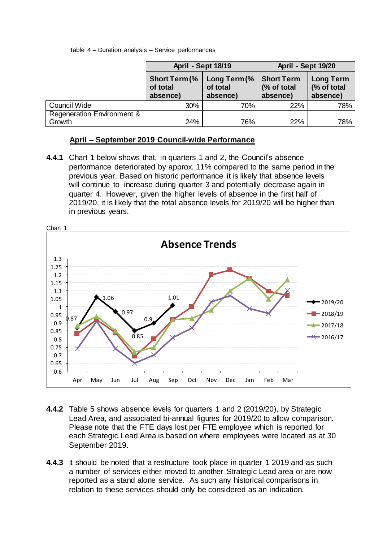Table 4 – Duration analysis – Service performances

|                                      | <b>April - Sept 18/19</b>                    |                                      | April - Sept 19/20                           |                                             |  |
|--------------------------------------|----------------------------------------------|--------------------------------------|----------------------------------------------|---------------------------------------------|--|
|                                      | <b>Short Term (%</b><br>of total<br>absence) | Long Term (%<br>of total<br>absence) | <b>Short Term</b><br>(% of total<br>absence) | <b>Long Term</b><br>(% of total<br>absence) |  |
| Council Wide                         | 30%                                          | 70%                                  | 22%                                          | 78%                                         |  |
| Regeneration Environment &<br>Growth | 24%                                          | 76%                                  | 22%                                          | 78%                                         |  |

# **April – September 2019 Council-wide Performance**

**4.4.1** Chart 1 below shows that, in quarters 1 and 2, the Council's absence performance deteriorated by approx. 11% compared to the same period in the previous year. Based on historic performance it is likely that absence levels will continue to increase during quarter 3 and potentially decrease again in quarter 4. However, given the higher levels of absence in the first half of 2019/20, it is likely that the total absence levels for 2019/20 will be higher than in previous years.



- **4.4.2** Table 5 shows absence levels for quarters 1 and 2 (2019/20), by Strategic Lead Area, and associated bi-annual figures for 2019/20 to allow comparison. Please note that the FTE days lost per FTE employee which is reported for each Strategic Lead Area is based on where employees were located as at 30 September 2019.
- **4.4.3** It should be noted that a restructure took place in quarter 1 2019 and as such a number of services either moved to another Strategic Lead area or are now reported as a stand alone service. As such any historical comparisons in relation to these services should only be considered as an indication.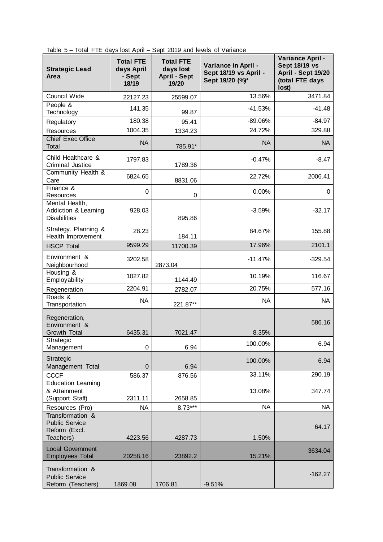|  |  |  |  |  |  |  |  |  |  |  |  | Table 5 - Total FTE days lost April - Sept 2019 and levels of Variance |
|--|--|--|--|--|--|--|--|--|--|--|--|------------------------------------------------------------------------|
|--|--|--|--|--|--|--|--|--|--|--|--|------------------------------------------------------------------------|

| <b>Strategic Lead</b><br>Area                                           | <b>Total FTE</b><br>days April<br>- Sept<br>18/19 | <b>Total FTE</b><br>days lost<br><b>April - Sept</b><br>19/20 | Variance in April -<br>Sept 18/19 vs April -<br>Sept 19/20 (%)* | Variance April -<br><b>Sept 18/19 vs</b><br>April - Sept 19/20<br>(total FTE days<br>lost) |
|-------------------------------------------------------------------------|---------------------------------------------------|---------------------------------------------------------------|-----------------------------------------------------------------|--------------------------------------------------------------------------------------------|
| Council Wide                                                            | 22127.23                                          | 25599.07                                                      | 13.56%                                                          | 3471.84                                                                                    |
| People &<br>Technology                                                  | 141.35                                            | 99.87                                                         | $-41.53%$                                                       | $-41.48$                                                                                   |
| Regulatory                                                              | 180.38                                            | 95.41                                                         | -89.06%                                                         | $-84.97$                                                                                   |
| Resources                                                               | 1004.35                                           | 1334.23                                                       | 24.72%                                                          | 329.88                                                                                     |
| <b>Chief Exec Office</b><br>Total                                       | <b>NA</b>                                         | 785.91*                                                       | <b>NA</b>                                                       | <b>NA</b>                                                                                  |
| Child Healthcare &<br>Criminal Justice                                  | 1797.83                                           | 1789.36                                                       | $-0.47%$                                                        | $-8.47$                                                                                    |
| Community Health &<br>Care                                              | 6824.65                                           | 8831.06                                                       | 22.72%                                                          | 2006.41                                                                                    |
| Finance &<br><b>Resources</b>                                           | 0                                                 | 0                                                             | 0.00%                                                           | 0                                                                                          |
| Mental Health,<br>Addiction & Learning<br><b>Disabilities</b>           | 928.03                                            | 895.86                                                        | $-3.59%$                                                        | $-32.17$                                                                                   |
| Strategy, Planning &<br>Health Improvement                              | 28.23                                             | 184.11                                                        | 84.67%                                                          | 155.88                                                                                     |
| <b>HSCP Total</b>                                                       | 9599.29                                           | 11700.39                                                      | 17.96%                                                          | 2101.1                                                                                     |
| Environment &<br>Neighbourhood                                          | 3202.58                                           | 2873.04                                                       | $-11.47%$                                                       | $-329.54$                                                                                  |
| Housing &<br>Employability                                              | 1027.82                                           | 1144.49                                                       | 10.19%                                                          | 116.67                                                                                     |
| Regeneration                                                            | 2204.91                                           | 2782.07                                                       | 20.75%                                                          | 577.16                                                                                     |
| Roads &<br>Transportation                                               | <b>NA</b>                                         | 221.87**                                                      | <b>NA</b>                                                       | <b>NA</b>                                                                                  |
| Regeneration,<br>Environment &<br>Growth Total                          | 6435.31                                           | 7021.47                                                       | 8.35%                                                           | 586.16                                                                                     |
| Strategic<br>Management                                                 | 0                                                 | 6.94                                                          | 100.00%                                                         | 6.94                                                                                       |
| Strategic                                                               |                                                   |                                                               | 100.00%                                                         | 6.94                                                                                       |
| Management Total                                                        | $\pmb{0}$                                         | 6.94                                                          |                                                                 |                                                                                            |
| <b>CCCF</b><br><b>Education Learning</b>                                | 586.37                                            | 876.56                                                        | 33.11%                                                          | 290.19                                                                                     |
| & Attainment<br>(Support Staff)                                         | 2311.11                                           | 2658.85                                                       | 13.08%                                                          | 347.74                                                                                     |
| Resources (Pro)                                                         | <b>NA</b>                                         | $8.73***$                                                     | <b>NA</b>                                                       | <b>NA</b>                                                                                  |
| Transformation &<br><b>Public Service</b><br>Reform (Excl.<br>Teachers) | 4223.56                                           | 4287.73                                                       | 1.50%                                                           | 64.17                                                                                      |
| <b>Local Government</b><br><b>Employees Total</b>                       | 20258.16                                          | 23892.2                                                       | 15.21%                                                          | 3634.04                                                                                    |
| Transformation &<br><b>Public Service</b><br>Reform (Teachers)          | 1869.08                                           | 1706.81                                                       | $-9.51%$                                                        | $-162.27$                                                                                  |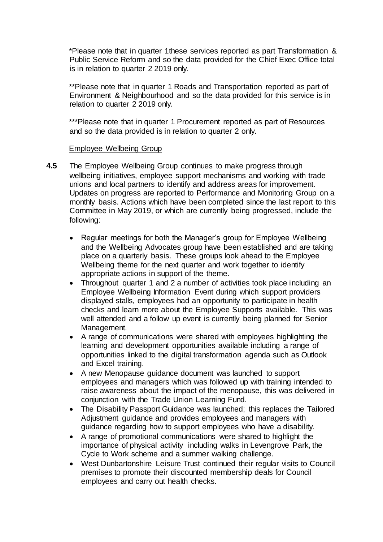\*Please note that in quarter 1these services reported as part Transformation & Public Service Reform and so the data provided for the Chief Exec Office total is in relation to quarter 2 2019 only.

\*\*Please note that in quarter 1 Roads and Transportation reported as part of Environment & Neighbourhood and so the data provided for this service is in relation to quarter 2 2019 only.

\*\*\*Please note that in quarter 1 Procurement reported as part of Resources and so the data provided is in relation to quarter 2 only.

### Employee Wellbeing Group

- **4.5** The Employee Wellbeing Group continues to make progress through wellbeing initiatives, employee support mechanisms and working with trade unions and local partners to identify and address areas for improvement. Updates on progress are reported to Performance and Monitoring Group on a monthly basis. Actions which have been completed since the last report to this Committee in May 2019, or which are currently being progressed, include the following:
	- Regular meetings for both the Manager's group for Employee Wellbeing and the Wellbeing Advocates group have been established and are taking place on a quarterly basis. These groups look ahead to the Employee Wellbeing theme for the next quarter and work together to identify appropriate actions in support of the theme.
	- Throughout quarter 1 and 2 a number of activities took place including an Employee Wellbeing Information Event during which support providers displayed stalls, employees had an opportunity to participate in health checks and learn more about the Employee Supports available. This was well attended and a follow up event is currently being planned for Senior Management.
	- A range of communications were shared with employees highlighting the learning and development opportunities available including a range of opportunities linked to the digital transformation agenda such as Outlook and Excel training.
	- A new Menopause guidance document was launched to support employees and managers which was followed up with training intended to raise awareness about the impact of the menopause, this was delivered in conjunction with the Trade Union Learning Fund.
	- The Disability Passport Guidance was launched; this replaces the Tailored Adjustment guidance and provides employees and managers with guidance regarding how to support employees who have a disability.
	- A range of promotional communications were shared to highlight the importance of physical activity including walks in Levengrove Park, the Cycle to Work scheme and a summer walking challenge.
	- West Dunbartonshire Leisure Trust continued their regular visits to Council premises to promote their discounted membership deals for Council employees and carry out health checks.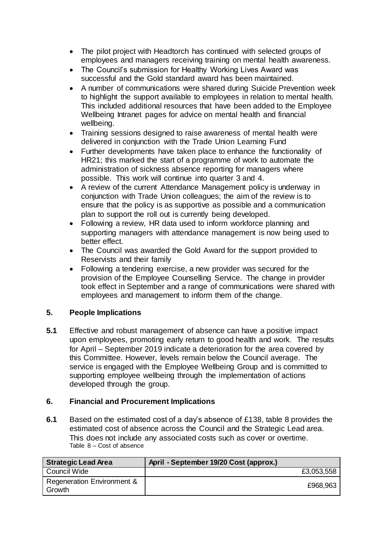- The pilot project with Headtorch has continued with selected groups of employees and managers receiving training on mental health awareness.
- The Council's submission for Healthy Working Lives Award was successful and the Gold standard award has been maintained.
- A number of communications were shared during Suicide Prevention week to highlight the support available to employees in relation to mental health. This included additional resources that have been added to the Employee Wellbeing Intranet pages for advice on mental health and financial wellbeing.
- Training sessions designed to raise awareness of mental health were delivered in conjunction with the Trade Union Learning Fund
- Further developments have taken place to enhance the functionality of HR21; this marked the start of a programme of work to automate the administration of sickness absence reporting for managers where possible. This work will continue into quarter 3 and 4.
- A review of the current Attendance Management policy is underway in conjunction with Trade Union colleagues; the aim of the review is to ensure that the policy is as supportive as possible and a communication plan to support the roll out is currently being developed.
- Following a review, HR data used to inform workforce planning and supporting managers with attendance management is now being used to better effect.
- The Council was awarded the Gold Award for the support provided to Reservists and their family
- Following a tendering exercise, a new provider was secured for the provision of the Employee Counselling Service. The change in provider took effect in September and a range of communications were shared with employees and management to inform them of the change.

# **5. People Implications**

**5.1** Effective and robust management of absence can have a positive impact upon employees, promoting early return to good health and work. The results for April – September 2019 indicate a deterioration for the area covered by this Committee. However, levels remain below the Council average. The service is engaged with the Employee Wellbeing Group and is committed to supporting employee wellbeing through the implementation of actions developed through the group.

## **6. Financial and Procurement Implications**

**6.1** Based on the estimated cost of a day's absence of £138, table 8 provides the estimated cost of absence across the Council and the Strategic Lead area. This does not include any associated costs such as cover or overtime. Table 8 – Cost of absence

| <b>Strategic Lead Area</b>           | April - September 19/20 Cost (approx.) |
|--------------------------------------|----------------------------------------|
| Council Wide                         | £3,053,558                             |
| Regeneration Environment &<br>Growth | £968,963                               |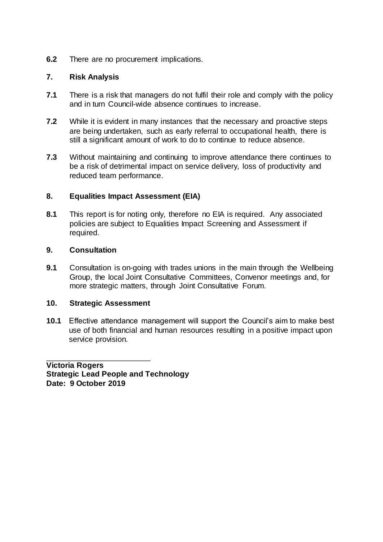# **6.2** There are no procurement implications.

## **7. Risk Analysis**

- **7.1** There is a risk that managers do not fulfil their role and comply with the policy and in turn Council-wide absence continues to increase.
- **7.2** While it is evident in many instances that the necessary and proactive steps are being undertaken, such as early referral to occupational health, there is still a significant amount of work to do to continue to reduce absence.
- **7.3** Without maintaining and continuing to improve attendance there continues to be a risk of detrimental impact on service delivery, loss of productivity and reduced team performance.

## **8. Equalities Impact Assessment (EIA)**

**8.1** This report is for noting only, therefore no EIA is required. Any associated policies are subject to Equalities Impact Screening and Assessment if required.

### **9. Consultation**

**9.1** Consultation is on-going with trades unions in the main through the Wellbeing Group, the local Joint Consultative Committees, Convenor meetings and, for more strategic matters, through Joint Consultative Forum.

#### **10. Strategic Assessment**

\_\_\_\_\_\_\_\_\_\_\_\_\_\_\_\_\_\_\_\_\_\_\_\_

**10.1** Effective attendance management will support the Council's aim to make best use of both financial and human resources resulting in a positive impact upon service provision.

**Victoria Rogers Strategic Lead People and Technology Date: 9 October 2019**